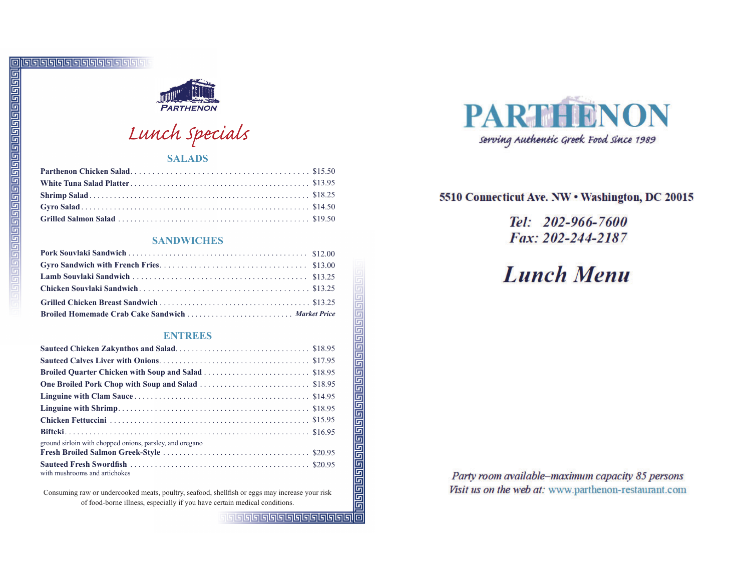

Lunch Specials

### **SALADS**

#### **SANDWICHES**

### **ENTREES**

| ground sirloin with chopped onions, parsley, and oregano |  |
|----------------------------------------------------------|--|
|                                                          |  |
| with mushrooms and artichokes                            |  |

Consuming raw or undercooked meats, poultry, seafood, shellfish or eggs may increase your risk of food-borne illness, especially if you have certain medical conditions.



## 5510 Connecticut Ave. NW . Washington, DC 20015

Tel: 202-966-7600 Fax: 202-244-2187

# **Lunch Menu**

Party room available-maximum capacity 85 persons Visit us on the web at: www.parthenon-restaurant.com